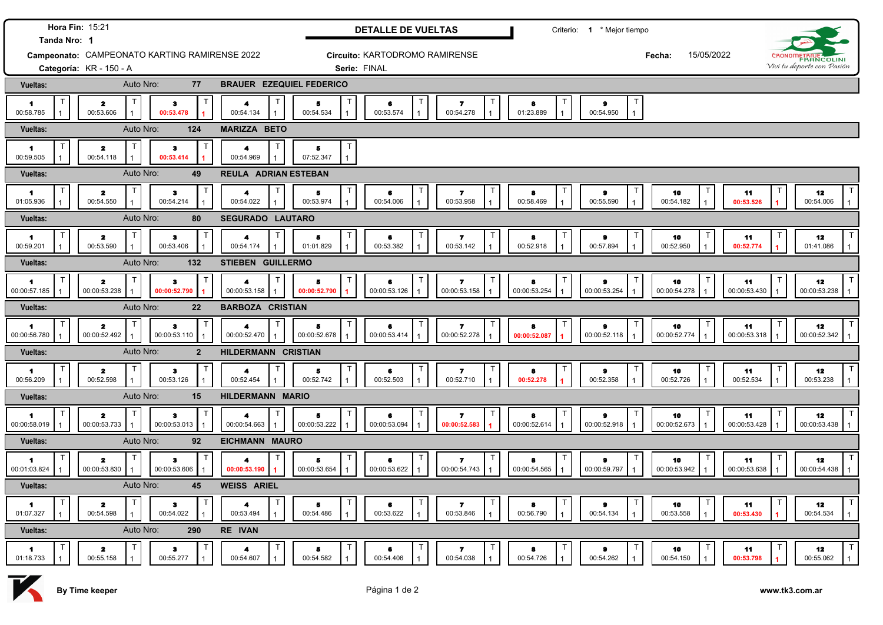| Tanda Nro: 1                                  | Hora Fin: 15:21                              |                                             |                                  |                                      | <b>DETALLE DE VUELTAS</b>         |                                            |                        | Criterio: 1 º Mejor tiempo                     |                    |                    |                            |                                 |
|-----------------------------------------------|----------------------------------------------|---------------------------------------------|----------------------------------|--------------------------------------|-----------------------------------|--------------------------------------------|------------------------|------------------------------------------------|--------------------|--------------------|----------------------------|---------------------------------|
| Campeonato: CAMPEONATO KARTING RAMIRENSE 2022 |                                              |                                             |                                  | Circuito: KARTODROMO RAMIRENSE       |                                   |                                            |                        | Fecha:                                         | 15/05/2022         |                    |                            |                                 |
|                                               | Categoría: KR - 150 - A                      |                                             |                                  | Serie: FINAL                         |                                   |                                            |                        |                                                |                    |                    | Vivi tu deporte con Pasión |                                 |
| Vueltas:                                      | Auto Nro:                                    | 77                                          | <b>BRAUER EZEQUIEL FEDERICO</b>  |                                      |                                   |                                            |                        |                                                |                    |                    |                            |                                 |
| $\blacktriangleleft$<br>00:58.785             | $\overline{\mathbf{z}}$<br>00:53.606         | Т<br>з<br>00:53.478                         | 4<br>00:54.134                   | $\overline{\mathbf{5}}$<br>00:54.534 | 6<br>00:53.574<br>$\mathbf{1}$    | т<br>$\overline{\phantom{a}}$<br>00:54.278 | 8<br>01:23.889         | Т<br>$\mathbf{a}$<br>00:54.950<br>$\mathbf{1}$ |                    |                    |                            |                                 |
| Vueltas:                                      | Auto Nro:                                    | 124                                         | <b>MARIZZA BETO</b>              |                                      |                                   |                                            |                        |                                                |                    |                    |                            |                                 |
| 1<br>00:59.505                                | $\mathbf{z}$<br>00:54.118                    | $\ddot{\textbf{3}}$<br>00:53.414            | 4<br>00:54.969                   | 5<br>07:52.347                       |                                   |                                            |                        |                                                |                    |                    |                            |                                 |
| Vueltas:                                      | Auto Nro:                                    | 49                                          | <b>REULA ADRIAN ESTEBAN</b>      |                                      |                                   |                                            |                        |                                                |                    |                    |                            |                                 |
| 1<br>01:05.936                                | $\mathbf{z}$<br>00:54.550                    | $\mathbf{3}$<br>00:54.214                   | 4<br>00:54.022                   | 5<br>00:53.974                       | 6<br>00:54.006                    | $\overline{ }$<br>00:53.958                | 8<br>00:58.469         | 9<br>00:55.590                                 | 10<br>00:54.182    | 11<br>00:53.526    |                            | 12<br>00:54.006                 |
| <b>Vueltas:</b>                               | Auto Nro:                                    | 80                                          | <b>SEGURADO LAUTARO</b>          |                                      |                                   |                                            |                        |                                                |                    |                    |                            |                                 |
| $\blacktriangleleft$<br>00:59.201             | т<br>$\mathbf{z}$<br>00:53.590               | з<br>00:53.406                              | т<br>4<br>00:54.174              | 5<br>01:01.829                       | T<br>6<br>00:53.382               | $\overline{\phantom{a}}$<br>00:53.142      | 8<br>00:52.918         | $\bullet$<br>00:57.894                         | 10<br>00:52.950    | 11<br>00:52.774    |                            | 12<br>01:41.086                 |
| Vueltas:                                      | Auto Nro:                                    | 132                                         | <b>STIEBEN GUILLERMO</b>         |                                      |                                   |                                            |                        |                                                |                    |                    |                            |                                 |
| т<br>1<br>00:00:57.185                        | T<br>$\overline{\mathbf{z}}$<br>00:00:53.238 | з<br>00:00:52.790                           | $\mathsf T$<br>4<br>00:00:53.158 | л<br>00:00:52.790                    | T<br>6<br>00:00:53.126            | $\overline{\mathbf{r}}$<br>00:00:53.158    | 8<br>00:00:53.254      | т<br>$\pmb{9}$<br>00:00:53.254                 | 10<br>00:00:54.278 | 11<br>00:00:53.430 |                            | 12<br>00:00:53.238              |
| Vueltas:                                      | Auto Nro:                                    | 22                                          | <b>BARBOZA CRISTIAN</b>          |                                      |                                   |                                            |                        |                                                |                    |                    |                            |                                 |
| T<br>1<br>00:00:56.780                        | $\mathsf{T}$<br>$\mathbf{z}$<br>00:00:52.492 | $\mathbf 3$<br>00:00:53.110<br>$\mathbf{1}$ | T<br>4<br>00:00:52.470           | 5<br>00:00:52.678                    | Τ<br>6<br>00:00:53.414            | $\mathbf{7}$<br>00:00:52.278               | 8<br>00:00:52.087      | $\bullet$<br>00:00:52.118                      | 10<br>00:00:52.774 | 11<br>00:00:53.318 |                            | T<br>12<br>00:00:52.342         |
| Vueltas:                                      | Auto Nro:                                    | $\overline{2}$                              | <b>HILDERMANN CRISTIAN</b>       |                                      |                                   |                                            |                        |                                                |                    |                    |                            |                                 |
| -1<br>00:56.209                               | т<br>$\mathbf{z}$<br>00:52.598               | $\bullet$<br>00:53.126                      | 00:52.454                        | 5<br>00:52.742                       | $\top$<br>6<br>00:52.503          | Т<br>$\mathbf{7}$<br>00:52.710             | $\bullet$<br>00:52.278 | т<br>$\bullet$<br>00:52.358                    | 10<br>00:52.726    | 11<br>00:52.534    |                            | $\mathsf{T}$<br>12<br>00:53.238 |
| Vueltas:                                      | Auto Nro:                                    | 15                                          | <b>HILDERMANN MARIO</b>          |                                      |                                   |                                            |                        |                                                |                    |                    |                            |                                 |
| 4<br>00:00:58.019                             | $\mathsf T$<br>$\mathbf{z}$<br>00:00:53.733  | $\mathbf{3}$<br>00:00:53.013                | 00:00:54.663                     | А<br>00:00:53.222                    | $\mathsf{T}$<br>6<br>00:00:53.094 | Т<br>$\overline{ }$<br>00:00:52.583        | 8<br>00:00:52.614      | Т<br>$\bullet$<br>00:00:52.918                 | 10<br>00:00:52.673 | 11<br>00:00:53.428 |                            | 12<br>00:00:53.438              |
| Vueltas:                                      | Auto Nro:                                    | 92                                          | EICHMANN MAURO                   |                                      |                                   |                                            |                        |                                                |                    |                    |                            |                                 |
| 1<br>00:01:03.824                             | T<br>$\mathbf{z}$<br>00:00:53.830            | $\bullet$<br>00:00:53.606                   | 4<br>00:00:53.190                | 5<br>00:00:53.654                    | $\mathsf{T}$<br>6<br>00:00:53.622 | $\overline{\mathbf{r}}$<br>00:00:54.743    | 8<br>00:00:54.565      | Т<br>9<br>00:00:59.797                         | 10<br>00:00:53.942 | 11<br>00:00:53.638 |                            | 12<br>00:00:54.438              |
| Vueltas:                                      | Auto Nro:                                    | 45                                          | <b>WEISS ARIEL</b>               |                                      |                                   |                                            |                        |                                                |                    |                    |                            |                                 |
| $\mathbf 1$<br>01:07.327                      | $\mathbf{z}$<br>00:54.598                    | Π<br>$\bullet$<br>00:54.022                 | 4<br>00:53.494<br>$\overline{1}$ | 5<br>00:54.486                       | $\mathsf{T}$<br>6<br>00:53.622    | т<br>$\overline{ }$<br>00:53.846           | 8<br>00:56.790         | Т<br>$\bullet$<br>00:54.134                    | 10<br>00:53.558    | 11<br>00:53.430    |                            | 12<br>00:54.534                 |
| Vueltas:                                      | Auto Nro:                                    | 290                                         | RE IVAN                          |                                      |                                   |                                            |                        |                                                |                    |                    |                            |                                 |
| 1<br>01:18.733                                | $\mathbf{z}$<br>00:55.158                    | з<br>00:55.277                              | 00:54.607                        | 5<br>00:54.582                       | Т<br>6<br>00:54.406               | 7<br>00:54.038                             | 8<br>00:54.726         | 00:54.262                                      | 10<br>00:54.150    | 11<br>00:53.798    |                            | 12<br>00:55.062                 |